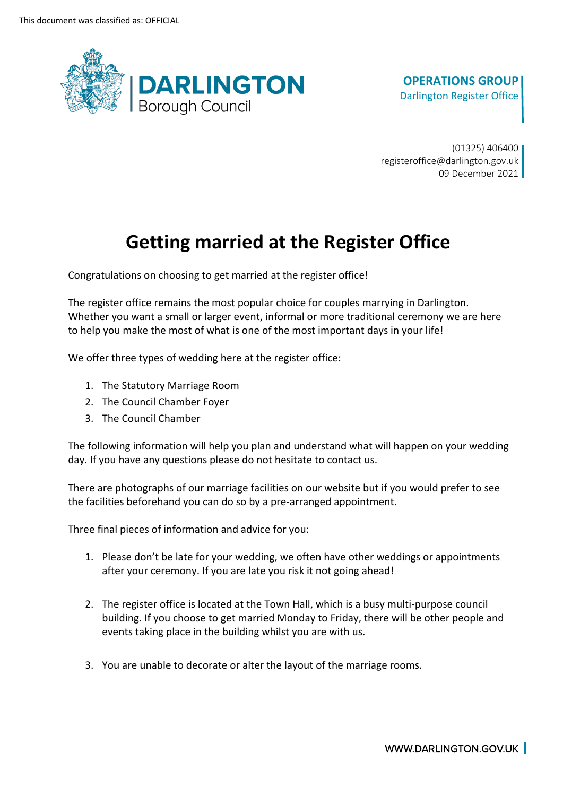

#### **OPERATIONS GROUP**  Darlington Register Office

(01325) 406400 registeroffice@darlington.gov.uk 09 December 2021

# **Getting married at the Register Office**

Congratulations on choosing to get married at the register office!

 The register office remains the most popular choice for couples marrying in Darlington. Whether you want a small or larger event, informal or more traditional ceremony we are here to help you make the most of what is one of the most important days in your life!

We offer three types of wedding here at the register office:

- 1. The Statutory Marriage Room
- 2. The Council Chamber Foyer
- 3. The Council Chamber

The following information will help you plan and understand what will happen on your wedding day. If you have any questions please do not hesitate to contact us.

There are photographs of our marriage facilities on our website but if you would prefer to see the facilities beforehand you can do so by a pre-arranged appointment.

Three final pieces of information and advice for you:

- 1. Please don't be late for your wedding, we often have other weddings or appointments after your ceremony. If you are late you risk it not going ahead!
- 2. The register office is located at the Town Hall, which is a busy multi-purpose council building. If you choose to get married Monday to Friday, there will be other people and events taking place in the building whilst you are with us.
- 3. You are unable to decorate or alter the layout of the marriage rooms.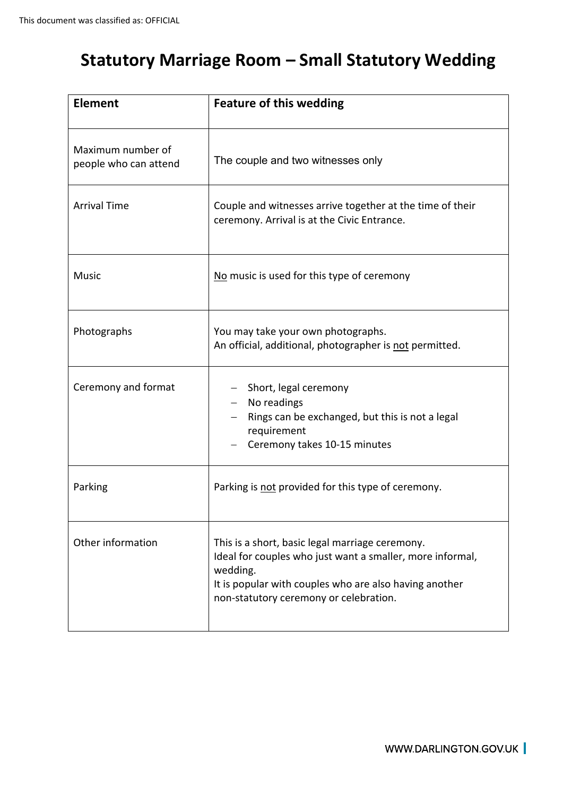### **Statutory Marriage Room – Small Statutory Wedding**

| <b>Element</b>                             | <b>Feature of this wedding</b>                                                                                                                                                                                               |
|--------------------------------------------|------------------------------------------------------------------------------------------------------------------------------------------------------------------------------------------------------------------------------|
| Maximum number of<br>people who can attend | The couple and two witnesses only                                                                                                                                                                                            |
| <b>Arrival Time</b>                        | Couple and witnesses arrive together at the time of their<br>ceremony. Arrival is at the Civic Entrance.                                                                                                                     |
| Music                                      | No music is used for this type of ceremony                                                                                                                                                                                   |
| Photographs                                | You may take your own photographs.<br>An official, additional, photographer is not permitted.                                                                                                                                |
| Ceremony and format                        | Short, legal ceremony<br>No readings<br>Rings can be exchanged, but this is not a legal<br>requirement<br>Ceremony takes 10-15 minutes                                                                                       |
| Parking                                    | Parking is not provided for this type of ceremony.                                                                                                                                                                           |
| Other information                          | This is a short, basic legal marriage ceremony.<br>Ideal for couples who just want a smaller, more informal,<br>wedding.<br>It is popular with couples who are also having another<br>non-statutory ceremony or celebration. |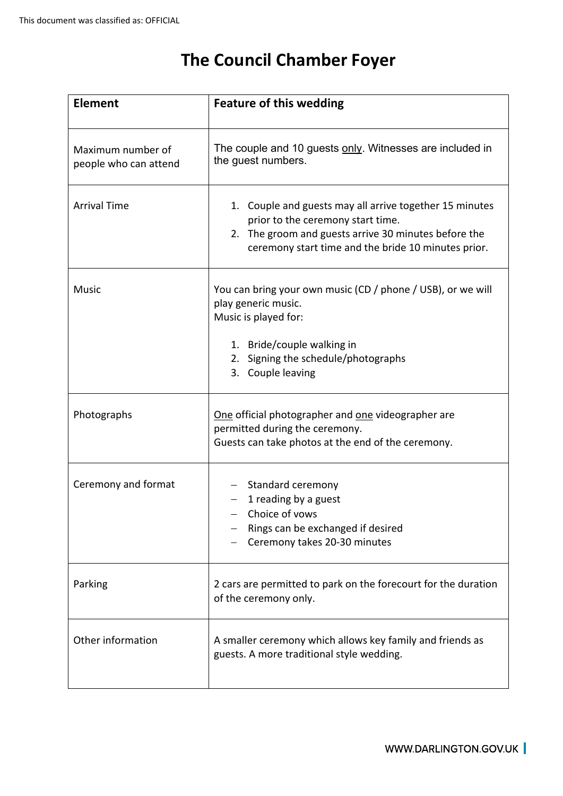## **The Council Chamber Foyer**

| <b>Element</b>                             | <b>Feature of this wedding</b>                                                                                                                                                                              |
|--------------------------------------------|-------------------------------------------------------------------------------------------------------------------------------------------------------------------------------------------------------------|
| Maximum number of<br>people who can attend | The couple and 10 guests only. Witnesses are included in<br>the guest numbers.                                                                                                                              |
| <b>Arrival Time</b>                        | 1. Couple and guests may all arrive together 15 minutes<br>prior to the ceremony start time.<br>2. The groom and guests arrive 30 minutes before the<br>ceremony start time and the bride 10 minutes prior. |
| <b>Music</b>                               | You can bring your own music (CD / phone / USB), or we will<br>play generic music.<br>Music is played for:<br>1. Bride/couple walking in<br>Signing the schedule/photographs<br>2.<br>Couple leaving<br>3.  |
| Photographs                                | One official photographer and one videographer are<br>permitted during the ceremony.<br>Guests can take photos at the end of the ceremony.                                                                  |
| Ceremony and format                        | Standard ceremony<br>1 reading by a guest<br>Choice of yows<br>Rings can be exchanged if desired<br>Ceremony takes 20-30 minutes                                                                            |
| Parking                                    | 2 cars are permitted to park on the forecourt for the duration<br>of the ceremony only.                                                                                                                     |
| Other information                          | A smaller ceremony which allows key family and friends as<br>guests. A more traditional style wedding.                                                                                                      |